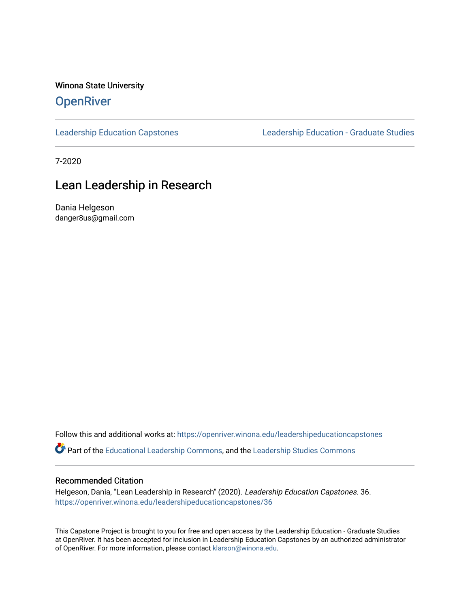Winona State University

#### **OpenRiver**

[Leadership Education Capstones](https://openriver.winona.edu/leadershipeducationcapstones) [Leadership Education - Graduate Studies](https://openriver.winona.edu/leadershipeducation) 

7-2020

#### Lean Leadership in Research

Dania Helgeson danger8us@gmail.com

Follow this and additional works at: [https://openriver.winona.edu/leadershipeducationcapstones](https://openriver.winona.edu/leadershipeducationcapstones?utm_source=openriver.winona.edu%2Fleadershipeducationcapstones%2F36&utm_medium=PDF&utm_campaign=PDFCoverPages) 

Part of the [Educational Leadership Commons,](http://network.bepress.com/hgg/discipline/1230?utm_source=openriver.winona.edu%2Fleadershipeducationcapstones%2F36&utm_medium=PDF&utm_campaign=PDFCoverPages) and the [Leadership Studies Commons](http://network.bepress.com/hgg/discipline/1250?utm_source=openriver.winona.edu%2Fleadershipeducationcapstones%2F36&utm_medium=PDF&utm_campaign=PDFCoverPages)

#### Recommended Citation

Helgeson, Dania, "Lean Leadership in Research" (2020). Leadership Education Capstones. 36. [https://openriver.winona.edu/leadershipeducationcapstones/36](https://openriver.winona.edu/leadershipeducationcapstones/36?utm_source=openriver.winona.edu%2Fleadershipeducationcapstones%2F36&utm_medium=PDF&utm_campaign=PDFCoverPages) 

This Capstone Project is brought to you for free and open access by the Leadership Education - Graduate Studies at OpenRiver. It has been accepted for inclusion in Leadership Education Capstones by an authorized administrator of OpenRiver. For more information, please contact [klarson@winona.edu.](mailto:klarson@winona.edu)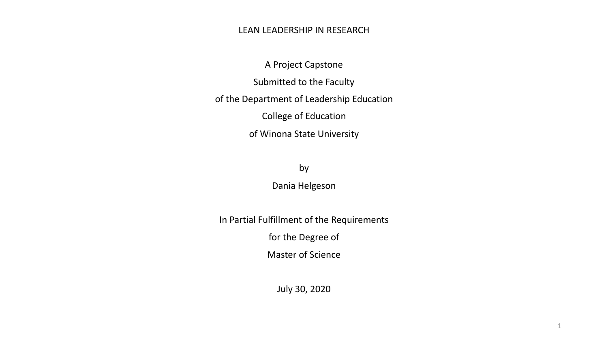#### LEAN LEADERSHIP IN RESEARCH

A Project Capstone Submitted to the Faculty of the Department of Leadership Education College of Education of Winona State University

by

Dania Helgeson

In Partial Fulfillment of the Requirements

for the Degree of

Master of Science

July 30, 2020

1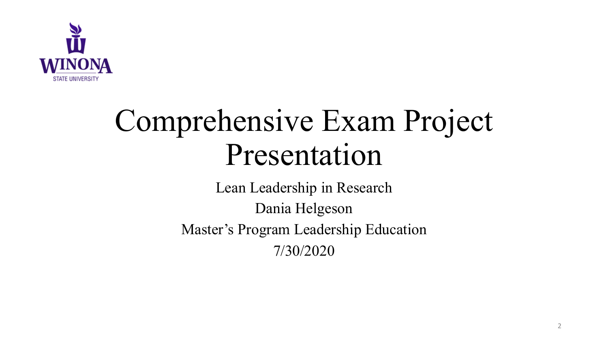

# Comprehensive Exam Project Presentation

Lean Leadership in Research Dania Helgeson Master's Program Leadership Education 7/30/2020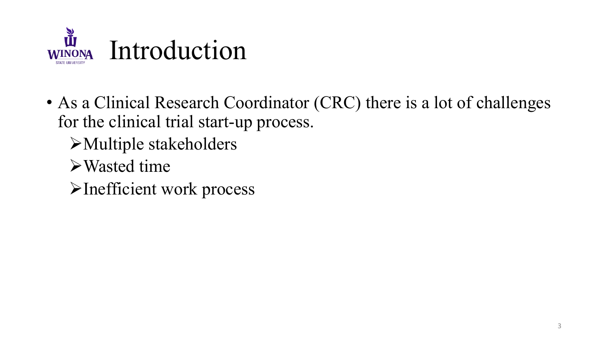

- As a Clinical Research Coordinator (CRC) there is a lot of challenges for the clinical trial start-up process.
	- $\blacktriangleright$  Multiple stakeholders
	- ØWasted time
	- ØInefficient work process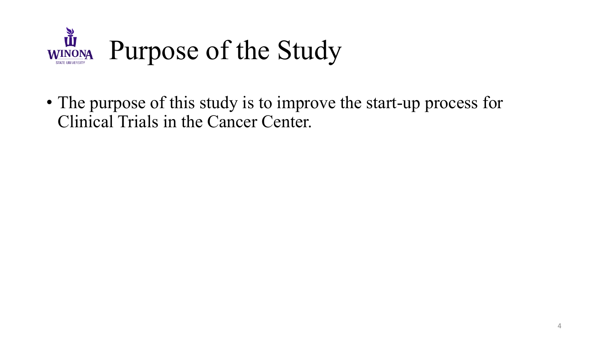

• The purpose of this study is to improve the start-up process for Clinical Trials in the Cancer Center.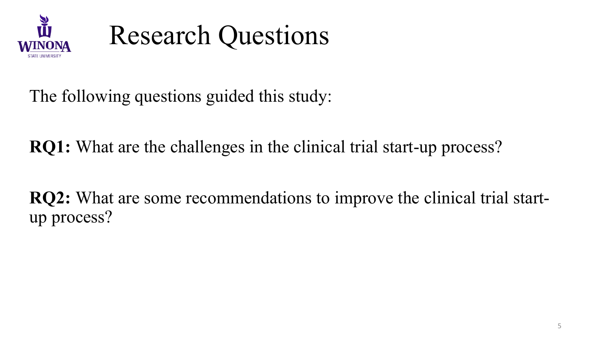



The following questions guided this study:

**RQ1:** What are the challenges in the clinical trial start-up process?

**RQ2:** What are some recommendations to improve the clinical trial startup process?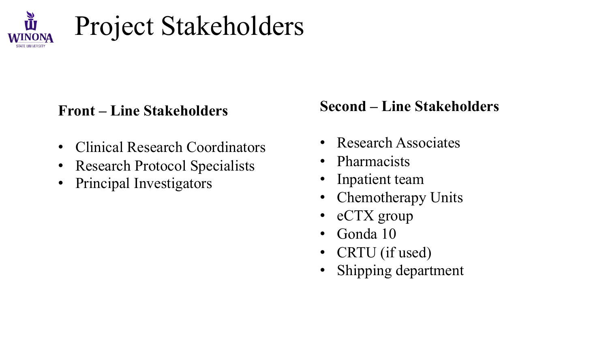

# Project Stakeholders

#### **Front – Line Stakeholders**

- Clinical Research Coordinators
- Research Protocol Specialists
- Principal Investigators

### **Second – Line Stakeholders**

- Research Associates
- Pharmacists
- Inpatient team
- Chemotherapy Units
- eCTX group
- Gonda 10
- CRTU (if used)
- Shipping department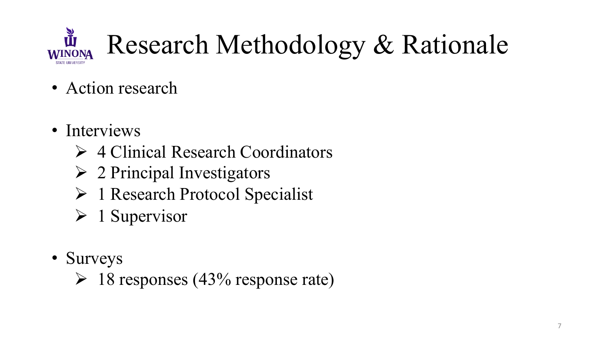

- Action research
- Interviews
	- $\triangleright$  4 Clinical Research Coordinators
	- $\triangleright$  2 Principal Investigators
	- $\triangleright$  1 Research Protocol Specialist
	- $\triangleright$  1 Supervisor
- Surveys
	- $\triangleright$  18 responses (43% response rate)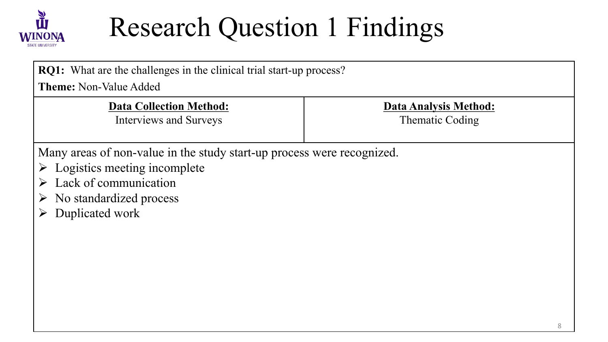

# Research Question 1 Findings

| <b>RQ1:</b> What are the challenges in the clinical trial start-up process?<br><b>Theme:</b> Non-Value Added |                 |  |
|--------------------------------------------------------------------------------------------------------------|-----------------|--|
|                                                                                                              |                 |  |
| Interviews and Surveys                                                                                       | Thematic Coding |  |
|                                                                                                              |                 |  |
| Many areas of non-value in the study start-up process were recognized.                                       |                 |  |
| $\triangleright$ Logistics meeting incomplete                                                                |                 |  |
| $\triangleright$ Lack of communication                                                                       |                 |  |
| $\triangleright$ No standardized process                                                                     |                 |  |
| Duplicated work                                                                                              |                 |  |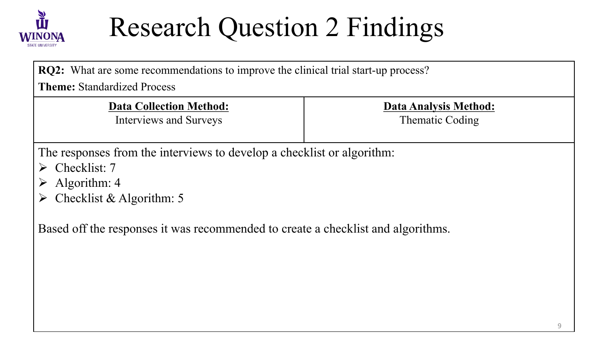

# Research Question 2 Findings

**RQ2:** What are some recommendations to improve the clinical trial start-up process?

**Theme:** Standardized Process

**Data Collection Method:** 

Interviews and Surveys

**Data Analysis Method:** 

Thematic Coding

The responses from the interviews to develop a checklist or algorithm:

- $\triangleright$  Checklist: 7
- $\triangleright$  Algorithm: 4
- $\triangleright$  Checklist & Algorithm: 5

Based off the responses it was recommended to create a checklist and algorithms.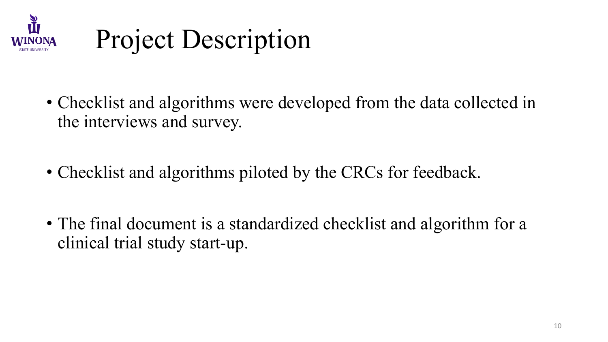

## Project Description

- Checklist and algorithms were developed from the data collected in the interviews and survey.
- Checklist and algorithms piloted by the CRCs for feedback.
- The final document is a standardized checklist and algorithm for a clinical trial study start-up.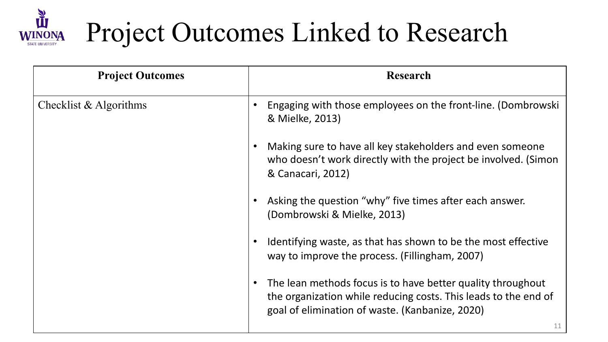

# Project Outcomes Linked to Research

| <b>Project Outcomes</b>  | <b>Research</b>                                                                                                                                                                   |
|--------------------------|-----------------------------------------------------------------------------------------------------------------------------------------------------------------------------------|
| Checklist $&$ Algorithms | Engaging with those employees on the front-line. (Dombrowski<br>& Mielke, 2013)                                                                                                   |
|                          | Making sure to have all key stakeholders and even someone<br>who doesn't work directly with the project be involved. (Simon<br>& Canacari, 2012)                                  |
|                          | Asking the question "why" five times after each answer.<br>(Dombrowski & Mielke, 2013)                                                                                            |
|                          | Identifying waste, as that has shown to be the most effective<br>way to improve the process. (Fillingham, 2007)                                                                   |
|                          | The lean methods focus is to have better quality throughout<br>the organization while reducing costs. This leads to the end of<br>goal of elimination of waste. (Kanbanize, 2020) |
|                          | 11                                                                                                                                                                                |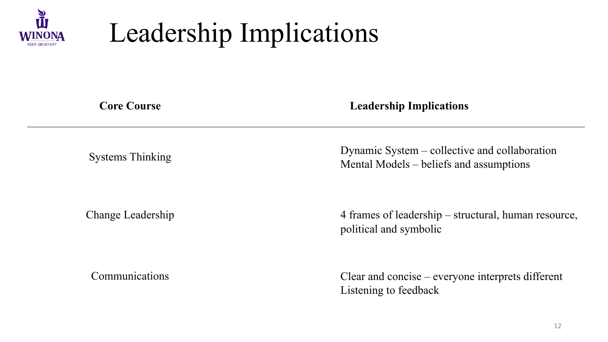

# Leadership Implications

#### **Core Course Leadership Implications**

Systems Thinking Dynamic System – collective and collaboration Mental Models – beliefs and assumptions

Change Leadership 4 frames of leadership – structural, human resource, political and symbolic

Communications Clear and concise – everyone interprets different Listening to feedback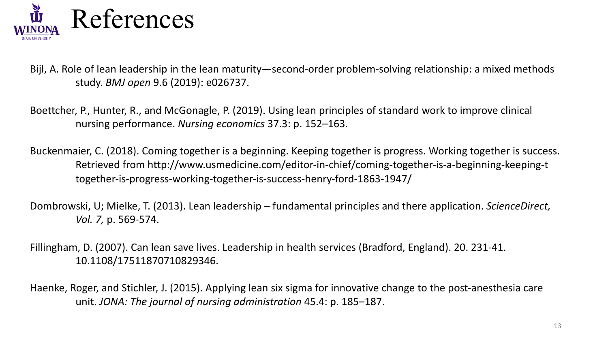

Bijl, A. Role of lean leadership in the lean maturity—second-order problem-solving relationship: a mixed methods study. *BMJ open* 9.6 (2019): e026737.

Boettcher, P., Hunter, R., and McGonagle, P. (2019). Using lean principles of standard work to improve clinical nursing performance. *Nursing economics* 37.3: p. 152–163.

Buckenmaier, C. (2018). Coming together is a beginning. Keeping together is progress. Working together is success. Retrieved from http://www.usmedicine.com/editor-in-chief/coming-together-is-a-beginning-keeping-t together-is-progress-working-together-is-success-henry-ford-1863-1947/

Dombrowski, U; Mielke, T. (2013). Lean leadership – fundamental principles and there application. *ScienceDirect, Vol. 7,* p. 569-574.

Fillingham, D. (2007). Can lean save lives. Leadership in health services (Bradford, England). 20. 231-41. 10.1108/17511870710829346.

Haenke, Roger, and Stichler, J. (2015). Applying lean six sigma for innovative change to the post-anesthesia care unit. *JONA: The journal of nursing administration* 45.4: p. 185–187.